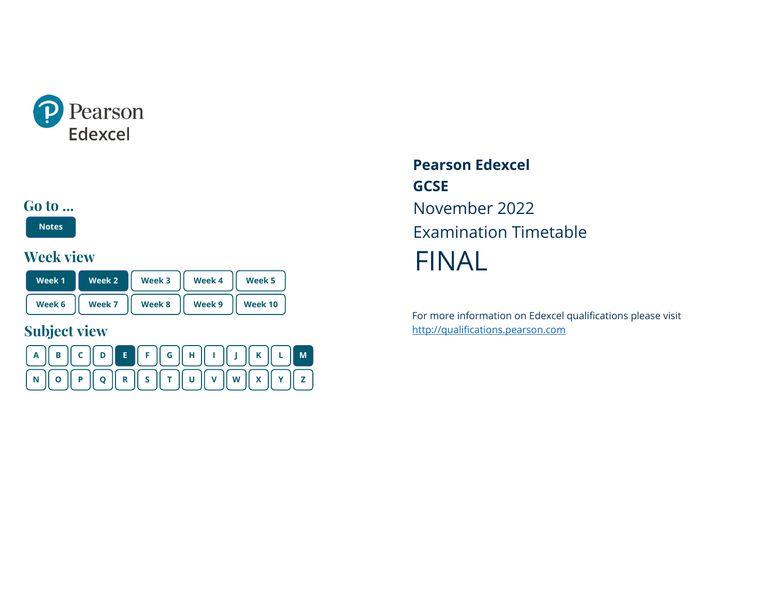<span id="page-0-0"></span>

## **Go to ...**

**[Notes](#page-1-0)**

## **Week view**

| Week 1 | Week 2 | Week 3 | Week 4 | Week 5  |  |
|--------|--------|--------|--------|---------|--|
| Week 6 | Week 7 | Week 8 | Week 9 | Week 10 |  |

# **Subject view**



**Pearson Edexcel GCSE** November 2022 Examination Timetable FINAL

For more information on Edexcel qualifications please visit [http://qualifications.pearson.com](http://qualifications.pearson.com/)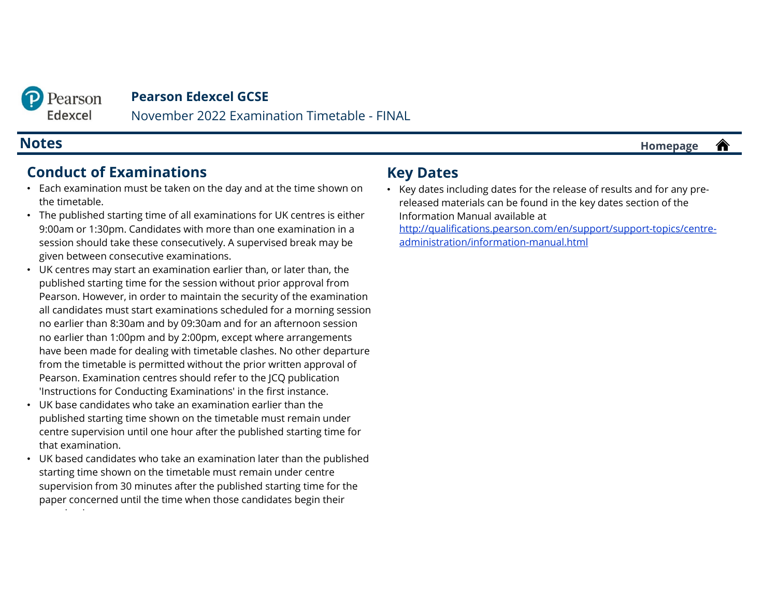<span id="page-1-0"></span>

November 2022 Examination Timetable - FINAL

## **Conduct of Examinations**

- Each examination must be taken on the day and at the time shown on the timetable.
- The published starting time of all examinations for UK centres is either 9:00am or 1:30pm. Candidates with more than one examination in a session should take these consecutively. A supervised break may be given between consecutive examinations.
- UK centres may start an examination earlier than, or later than, the published starting time for the session without prior approval from Pearson. However, in order to maintain the security of the examination all candidates must start examinations scheduled for a morning session no earlier than 8:30am and by 09:30am and for an afternoon session no earlier than 1:00pm and by 2:00pm, except where arrangements have been made for dealing with timetable clashes. No other departure from the timetable is permitted without the prior written approval of Pearson. Examination centres should refer to the JCQ publication 'Instructions for Conducting Examinations' in the first instance.
- UK base candidates who take an examination earlier than the published starting time shown on the timetable must remain under centre supervision until one hour after the published starting time for that examination.
- UK based candidates who take an examination later than the published starting time shown on the timetable must remain under centre supervision from 30 minutes after the published starting time for the paper concerned until the time when those candidates begin their i i

## **Key Dates**

• Key dates including dates for the release of results and for any prereleased materials can be found in the key dates section of the Information Manual available at [http://qualifications.pearson.com/en/support/support-topics/centre-](http://qualifications.pearson.com/en/support/support-topics/centre-administration/information-manual.html)

administration/information-manual.html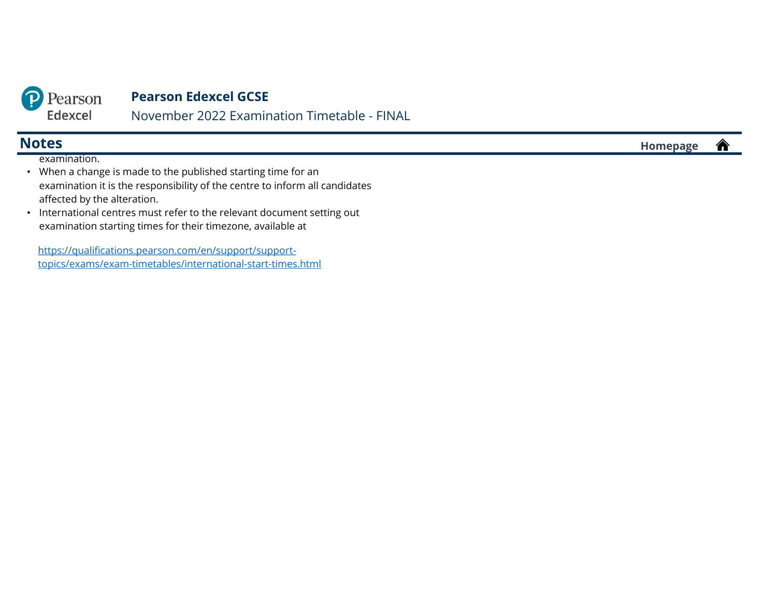

November 2022 Examination Timetable - FINAL

examination.

- When a change is made to the published starting time for an examination it is the responsibility of the centre to inform all candidates affected by the alteration.
- International centres must refer to the relevant document setting out examination starting times for their timezone, available at

https://qualifications.pearson.com/en/support/support[topics/exams/exam-timetables/international-start-times.html](https://qualifications.pearson.com/en/support/support-topics/exams/exam-timetables/international-start-times.html)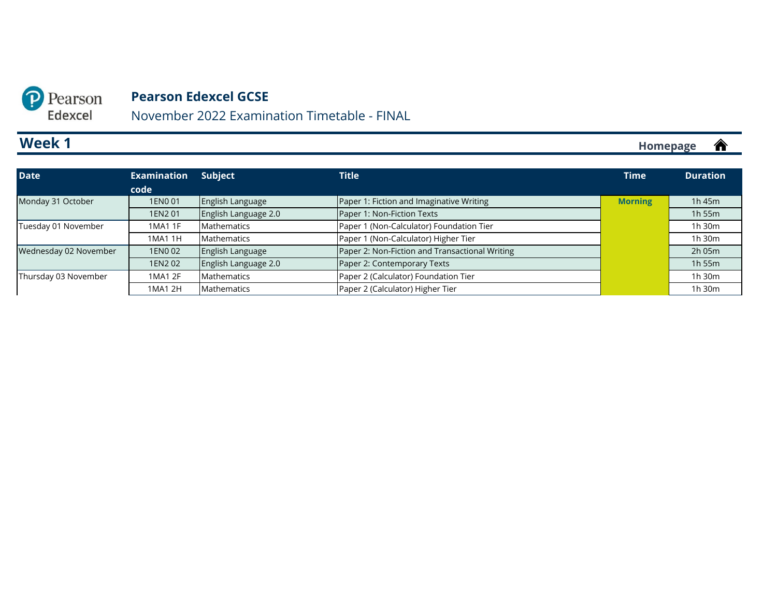November 2022 Examination Timetable - FINAL

# **Week 1**

<span id="page-3-0"></span>P Pearson Edexcel

| <b>Date</b>           | <b>Examination</b><br>code | Subject                     | <b>Title</b>                                   | <b>Time</b>    | <b>Duration</b> |
|-----------------------|----------------------------|-----------------------------|------------------------------------------------|----------------|-----------------|
| Monday 31 October     | 1EN0 01                    | English Language            | Paper 1: Fiction and Imaginative Writing       | <b>Morning</b> | $1h$ 45 $m$     |
|                       | 1EN2 01                    | English Language 2.0        | Paper 1: Non-Fiction Texts                     |                | 1h 55m          |
| Tuesday 01 November   | 1MA1 1F                    | Mathematics                 | Paper 1 (Non-Calculator) Foundation Tier       |                | 1h 30m          |
|                       | 1MA1 1H                    | Mathematics                 | Paper 1 (Non-Calculator) Higher Tier           |                | 1h 30m          |
| Wednesday 02 November | 1EN0 02                    | English Language            | Paper 2: Non-Fiction and Transactional Writing |                | 2h 05m          |
|                       | 1EN2 02                    | <b>English Language 2.0</b> | Paper 2: Contemporary Texts                    |                | 1h 55m          |
| Thursday 03 November  | 1MA1 2F                    | Mathematics                 | Paper 2 (Calculator) Foundation Tier           |                | 1h 30m          |
|                       | 1MA1 2H                    | Mathematics                 | Paper 2 (Calculator) Higher Tier               |                | 1h 30m          |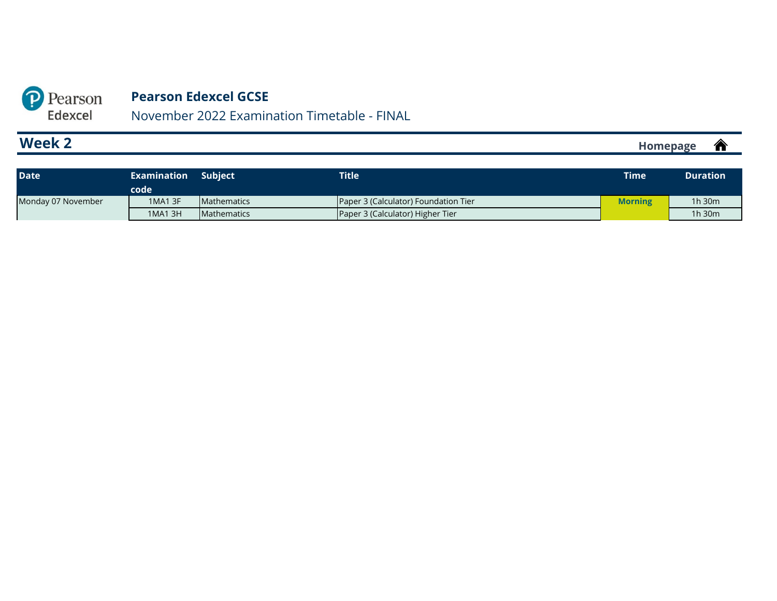November 2022 Examination Timetable - FINAL

# **Week 2**

<span id="page-4-0"></span>P Pearson Edexcel

| <b>Date</b>        | Examination<br>code | <b>Subject</b>     | <b>Title</b>                         | <b>Time</b>    | <b>Duration</b> |
|--------------------|---------------------|--------------------|--------------------------------------|----------------|-----------------|
| Monday 07 November | 1MA1 3F             | <b>Mathematics</b> | Paper 3 (Calculator) Foundation Tier | <b>Morning</b> | $1h$ 30 $m$     |
|                    | 1MA1 3H             | <b>Mathematics</b> | Paper 3 (Calculator) Higher Tier     |                | 1h 30m          |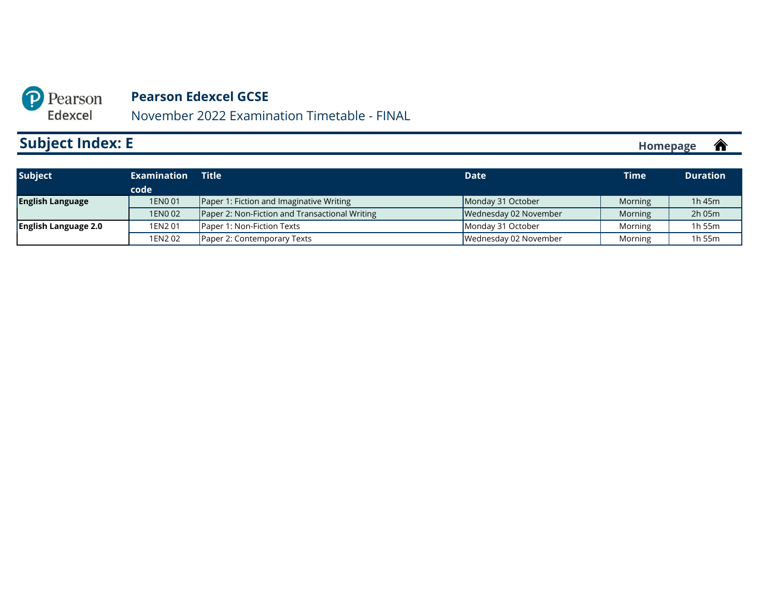Edexcel November 2022 Examination Timetable - FINAL

# **Subject Index: E**

<span id="page-5-0"></span>P Pearson

| <b>Subject</b>              | Examination | <b>Title</b>                                   | <b>Date</b>           | <b>Time</b> | <b>Duration</b> |
|-----------------------------|-------------|------------------------------------------------|-----------------------|-------------|-----------------|
|                             | code        |                                                |                       |             |                 |
| <b>English Language</b>     | 1EN0 01     | Paper 1: Fiction and Imaginative Writing       | Monday 31 October     | Morning     | 1 $h$ 45 $m$    |
|                             | 1EN0 02     | Paper 2: Non-Fiction and Transactional Writing | Wednesday 02 November | Morning     | 2h 05m          |
| <b>English Language 2.0</b> | 1EN2 01     | Paper 1: Non-Fiction Texts                     | Monday 31 October     | Morning     | 1h 55m          |
|                             | 1EN202      | Paper 2: Contemporary Texts                    | Wednesday 02 November | Morning     | 1h 55m          |